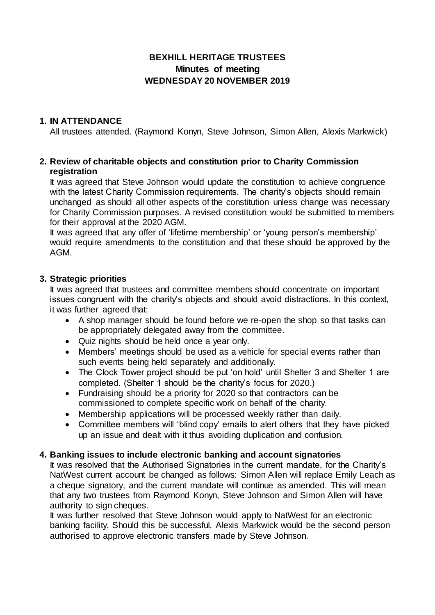# **BEXHILL HERITAGE TRUSTEES Minutes of meeting WEDNESDAY 20 NOVEMBER 2019**

# **1. IN ATTENDANCE**

All trustees attended. (Raymond Konyn, Steve Johnson, Simon Allen, Alexis Markwick)

## **2. Review of charitable objects and constitution prior to Charity Commission registration**

It was agreed that Steve Johnson would update the constitution to achieve congruence with the latest Charity Commission requirements. The charity's objects should remain unchanged as should all other aspects of the constitution unless change was necessary for Charity Commission purposes. A revised constitution would be submitted to members for their approval at the 2020 AGM.

It was agreed that any offer of 'lifetime membership' or 'young person's membership' would require amendments to the constitution and that these should be approved by the AGM.

### **3. Strategic priorities**

It was agreed that trustees and committee members should concentrate on important issues congruent with the charity's objects and should avoid distractions. In this context, it was further agreed that:

- A shop manager should be found before we re-open the shop so that tasks can be appropriately delegated away from the committee.
- Quiz nights should be held once a year only.
- Members' meetings should be used as a vehicle for special events rather than such events being held separately and additionally.
- The Clock Tower project should be put 'on hold' until Shelter 3 and Shelter 1 are completed. (Shelter 1 should be the charity's focus for 2020.)
- Fundraising should be a priority for 2020 so that contractors can be commissioned to complete specific work on behalf of the charity.
- Membership applications will be processed weekly rather than daily.
- Committee members will 'blind copy' emails to alert others that they have picked up an issue and dealt with it thus avoiding duplication and confusion.

### **4. Banking issues to include electronic banking and account signatories**

It was resolved that the Authorised Signatories in the current mandate, for the Charity's NatWest current account be changed as follows: Simon Allen will replace Emily Leach as a cheque signatory, and the current mandate will continue as amended. This will mean that any two trustees from Raymond Konyn, Steve Johnson and Simon Allen will have authority to sign cheques.

It was further resolved that Steve Johnson would apply to NatWest for an electronic banking facility. Should this be successful, Alexis Markwick would be the second person authorised to approve electronic transfers made by Steve Johnson.